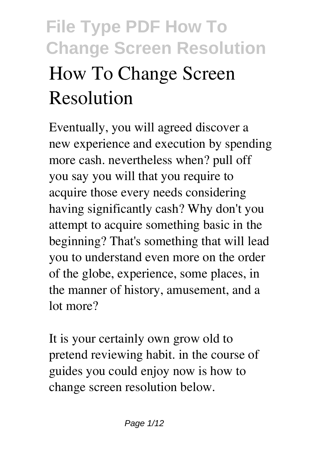# **File Type PDF How To Change Screen Resolution How To Change Screen Resolution**

Eventually, you will agreed discover a new experience and execution by spending more cash. nevertheless when? pull off you say you will that you require to acquire those every needs considering having significantly cash? Why don't you attempt to acquire something basic in the beginning? That's something that will lead you to understand even more on the order of the globe, experience, some places, in the manner of history, amusement, and a lot more?

It is your certainly own grow old to pretend reviewing habit. in the course of guides you could enjoy now is **how to change screen resolution** below.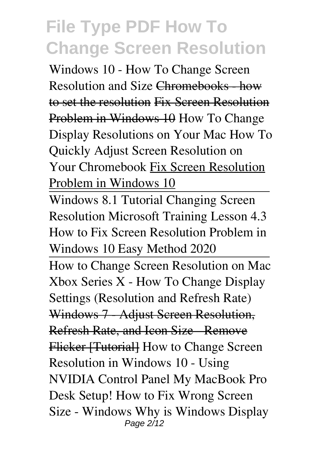*Windows 10 - How To Change Screen Resolution and Size* Chromebooks - how to set the resolution Fix Screen Resolution Problem in Windows 10 How To Change Display Resolutions on Your Mac How To Quickly Adjust Screen Resolution on Your Chromebook Fix Screen Resolution Problem in Windows 10

Windows 8.1 Tutorial Changing Screen Resolution Microsoft Training Lesson 4.3 *How to Fix Screen Resolution Problem in Windows 10 Easy Method 2020*

How to Change Screen Resolution on Mac Xbox Series X - How To Change Display Settings (Resolution and Refresh Rate) Windows 7 Adjust Screen Resolution, **Refresh Rate, and Icon Size - Remove** Flicker [Tutorial] How to Change Screen Resolution in Windows 10 - Using NVIDIA Control Panel **My MacBook Pro Desk Setup!** *How to Fix Wrong Screen Size - Windows Why is Windows Display* Page 2/12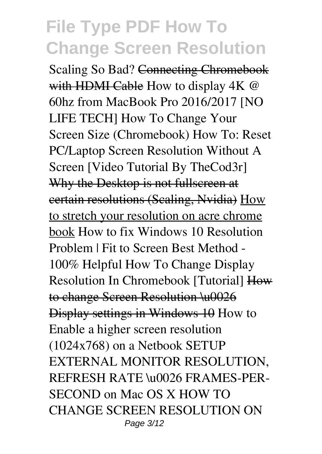**Scaling So Bad?** Connecting Chromebook with HDMI Cable *How to display 4K @ 60hz from MacBook Pro 2016/2017 [NO LIFE TECH]* How To Change Your Screen Size (Chromebook) How To: Reset PC/Laptop Screen Resolution Without A Screen [Video Tutorial By TheCod3r] Why the Desktop is not fullscreen at certain resolutions (Scaling, Nvidia) How to stretch your resolution on acre chrome book *How to fix Windows 10 Resolution Problem | Fit to Screen Best Method - 100% Helpful* How To Change Display Resolution In Chromebook [Tutorial] How to change Screen Resolution \u0026 Display settings in Windows 10 **How to Enable a higher screen resolution (1024x768) on a Netbook SETUP EXTERNAL MONITOR RESOLUTION, REFRESH RATE \u0026 FRAMES-PER-SECOND on Mac OS X** *HOW TO CHANGE SCREEN RESOLUTION ON* Page 3/12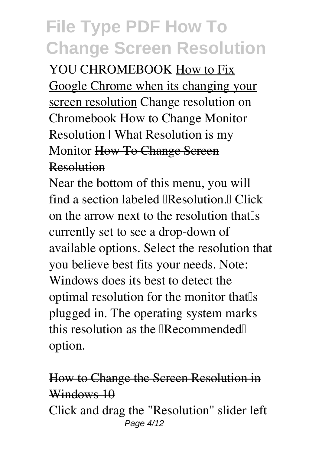*YOU CHROMEBOOK* How to Fix Google Chrome when its changing your screen resolution **Change resolution on Chromebook How to Change Monitor Resolution | What Resolution is my Monitor How To Change Screen** Resolution

Near the bottom of this menu, you will find a section labeled  $\mathbb{R}$  esolution.  $\mathbb{R}$  Click on the arrow next to the resolution that<sup>[s]</sup> currently set to see a drop-down of available options. Select the resolution that you believe best fits your needs. Note: Windows does its best to detect the optimal resolution for the monitor that s plugged in. The operating system marks this resolution as the  $\mathbb{R}$  ecommended $\mathbb{R}$ option.

#### How to Change the Screen Resolution in Windows 10

Click and drag the "Resolution" slider left Page 4/12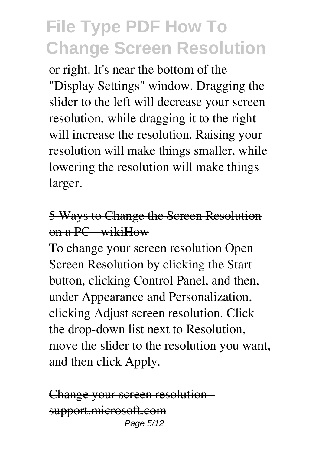or right. It's near the bottom of the "Display Settings" window. Dragging the slider to the left will decrease your screen resolution, while dragging it to the right will increase the resolution. Raising your resolution will make things smaller, while lowering the resolution will make things larger.

#### 5 Ways to Change the Screen Resolution  $on a PC$  wikiHow

To change your screen resolution Open Screen Resolution by clicking the Start button, clicking Control Panel, and then, under Appearance and Personalization, clicking Adjust screen resolution. Click the drop-down list next to Resolution, move the slider to the resolution you want, and then click Apply.

```
Change your screen resolution
support.microsoft.com
              Page 5/12
```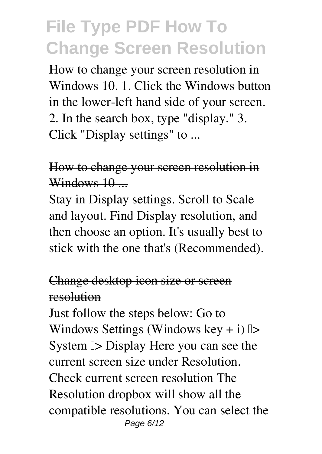How to change your screen resolution in Windows 10. 1. Click the Windows button in the lower-left hand side of your screen. 2. In the search box, type "display." 3. Click "Display settings" to ...

#### How to change your screen resolution in Windows 10 ...

Stay in Display settings. Scroll to Scale and layout. Find Display resolution, and then choose an option. It's usually best to stick with the one that's (Recommended).

#### Change desktop icon size or screen resolution

Just follow the steps below: Go to Windows Settings (Windows key + i)  $\triangleright$ System  $\triangleright$  Display Here you can see the current screen size under Resolution. Check current screen resolution The Resolution dropbox will show all the compatible resolutions. You can select the Page 6/12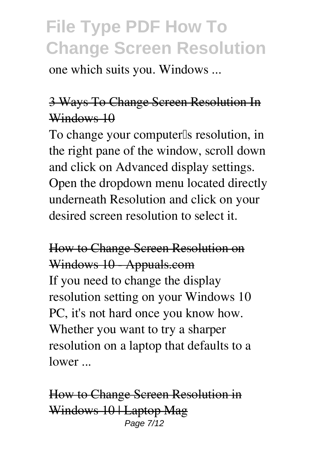one which suits you. Windows ...

### 3 Ways To Change Screen Resolution In Windows 10

To change your computer<sup>[]</sup>s resolution, in the right pane of the window, scroll down and click on Advanced display settings. Open the dropdown menu located directly underneath Resolution and click on your desired screen resolution to select it.

### How to Change Screen Resolution on Windows 10 Appuals.com If you need to change the display resolution setting on your Windows 10

PC, it's not hard once you know how. Whether you want to try a sharper resolution on a laptop that defaults to a lower ...

How to Change Screen Resolution in Windows 10 | Laptop Mag Page 7/12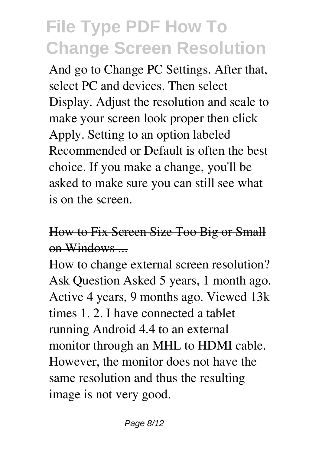And go to Change PC Settings. After that, select PC and devices. Then select Display. Adjust the resolution and scale to make your screen look proper then click Apply. Setting to an option labeled Recommended or Default is often the best choice. If you make a change, you'll be asked to make sure you can still see what is on the screen.

### How to Fix Screen Size Too Big or Small on Windows ...

How to change external screen resolution? Ask Question Asked 5 years, 1 month ago. Active 4 years, 9 months ago. Viewed 13k times 1. 2. I have connected a tablet running Android 4.4 to an external monitor through an MHL to HDMI cable. However, the monitor does not have the same resolution and thus the resulting image is not very good.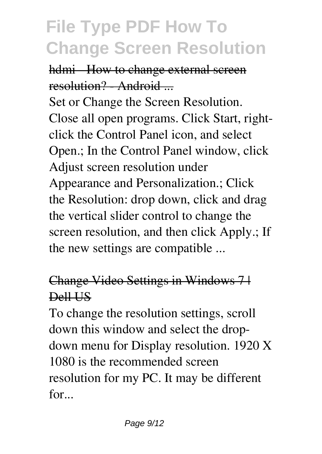hdmi - How to change external screen resolution? Android

Set or Change the Screen Resolution. Close all open programs. Click Start, rightclick the Control Panel icon, and select Open.; In the Control Panel window, click Adjust screen resolution under Appearance and Personalization.; Click the Resolution: drop down, click and drag the vertical slider control to change the screen resolution, and then click Apply.; If the new settings are compatible ...

#### Change Video Settings in Windows 7 | Dell US

To change the resolution settings, scroll down this window and select the dropdown menu for Display resolution. 1920 X 1080 is the recommended screen resolution for my PC. It may be different for...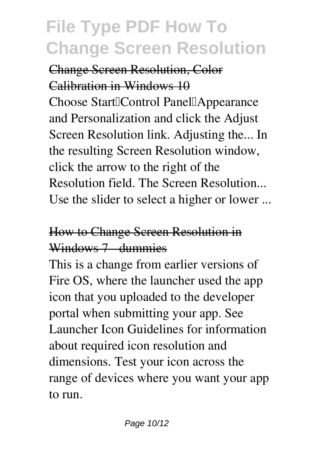#### Change Screen Resolution, Color Calibration in Windows 10

Choose Start||Control Panel||Appearance and Personalization and click the Adjust Screen Resolution link. Adjusting the... In the resulting Screen Resolution window, click the arrow to the right of the Resolution field. The Screen Resolution... Use the slider to select a higher or lower ...

#### How to Change Screen Resolution in Windows 7 dummies

This is a change from earlier versions of Fire OS, where the launcher used the app icon that you uploaded to the developer portal when submitting your app. See Launcher Icon Guidelines for information about required icon resolution and dimensions. Test your icon across the range of devices where you want your app to run.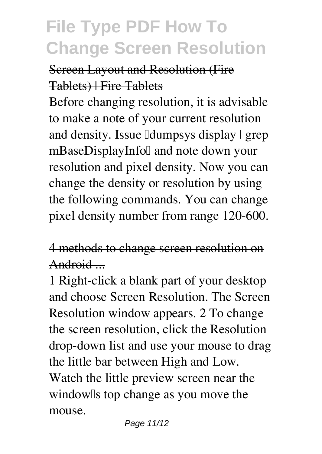#### Screen Layout and Resolution (Fire Tablets) | Fire Tablets

Before changing resolution, it is advisable to make a note of your current resolution and density. Issue *dumpsys* display | grep mBaseDisplayInfol and note down your resolution and pixel density. Now you can change the density or resolution by using the following commands. You can change pixel density number from range 120-600.

#### 4 methods to change screen resolution on Android ...

1 Right-click a blank part of your desktop and choose Screen Resolution. The Screen Resolution window appears. 2 To change the screen resolution, click the Resolution drop-down list and use your mouse to drag the little bar between High and Low. Watch the little preview screen near the window<sup>[]</sup>s top change as you move the mouse.